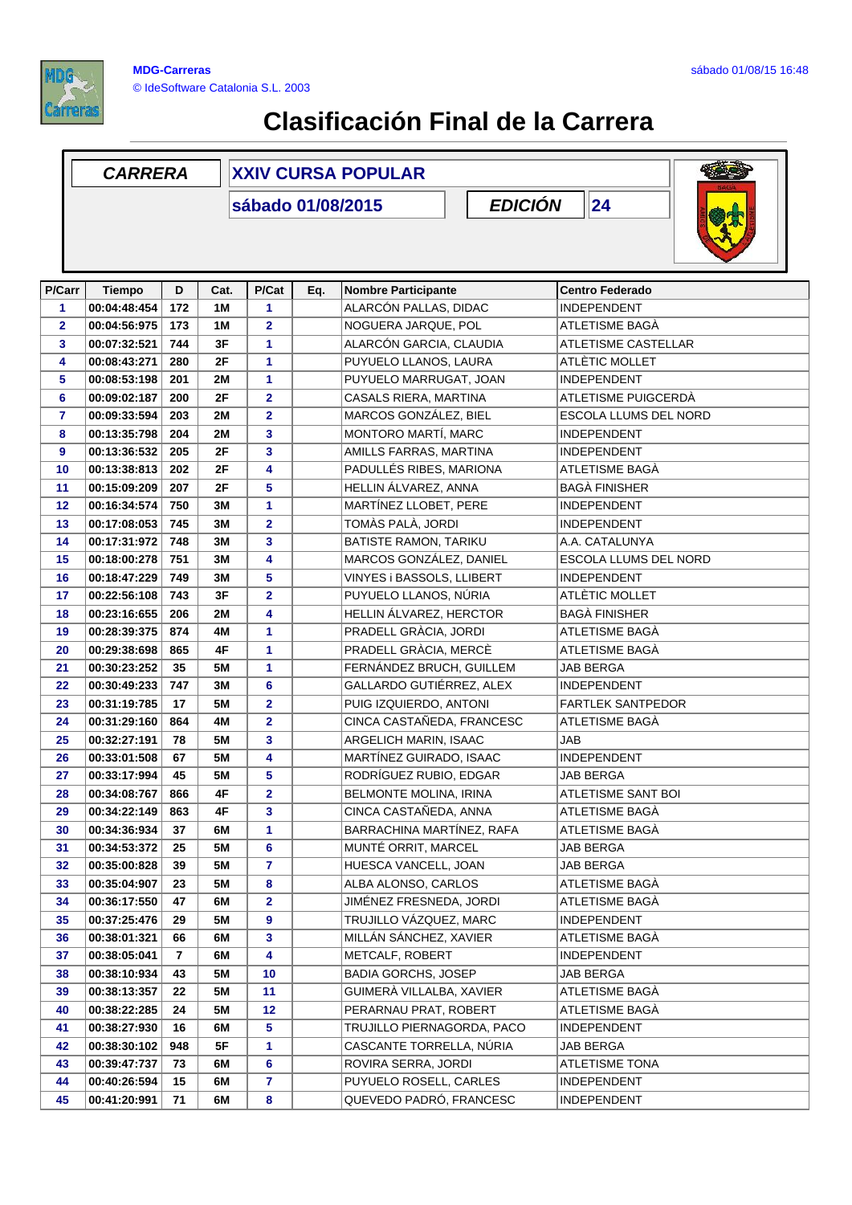

## **Clasificación Final de la Carrera**

|                | <b>CARRERA</b>                            |     |           | <b>XXIV CURSA POPULAR</b> |                       |                                  |                    |                            |  |
|----------------|-------------------------------------------|-----|-----------|---------------------------|-----------------------|----------------------------------|--------------------|----------------------------|--|
|                | 24<br><b>EDICIÓN</b><br>sábado 01/08/2015 |     |           |                           |                       |                                  |                    |                            |  |
| P/Carr         | <b>Tiempo</b>                             | D   | Cat.      | P/Cat                     | Eq.                   | <b>Nombre Participante</b>       |                    | <b>Centro Federado</b>     |  |
| 1              | 00:04:48:454<br>172<br>1M                 |     | 1         |                           | ALARCÓN PALLAS, DIDAC |                                  | <b>INDEPENDENT</b> |                            |  |
| $\overline{2}$ | 00:04:56:975                              | 173 | 1M        | $\overline{\mathbf{2}}$   |                       | NOGUERA JARQUE, POL              |                    | ATLETISME BAGÀ             |  |
| 3              | 00:07:32:521                              | 744 | 3F        | 1                         |                       | ALARCÓN GARCIA, CLAUDIA          |                    | <b>ATLETISME CASTELLAR</b> |  |
| 4              | 00:08:43:271                              | 280 | 2F        | 1                         |                       | PUYUELO LLANOS, LAURA            |                    | ATLÈTIC MOLLET             |  |
| 5              | 00:08:53:198                              | 201 | 2M        | 1                         |                       | PUYUELO MARRUGAT, JOAN           |                    | INDEPENDENT                |  |
| 6              | 00:09:02:187                              | 200 | 2F        | $\overline{\mathbf{2}}$   |                       | CASALS RIERA, MARTINA            |                    | ATLETISME PUIGCERDÀ        |  |
| 7              | 00:09:33:594                              | 203 | 2M        | 2                         |                       | MARCOS GONZÁLEZ, BIEL            |                    | ESCOLA LLUMS DEL NORD      |  |
| 8              | 00:13:35:798                              | 204 | <b>2M</b> | 3                         |                       | MONTORO MARTÍ, MARC              |                    | <b>INDEPENDENT</b>         |  |
| 9              | 00:13:36:532                              | 205 | 2F        | 3                         |                       | AMILLS FARRAS, MARTINA           |                    | <b>INDEPENDENT</b>         |  |
| 10             | 00:13:38:813                              | 202 | 2F        | 4                         |                       | PADULLÉS RIBES, MARIONA          |                    | ATLETISME BAGÀ             |  |
| 11             | 00:15:09:209                              | 207 | 2F        | 5                         |                       | HELLIN ÁLVAREZ, ANNA             |                    | <b>BAGÀ FINISHER</b>       |  |
| 12             | 00:16:34:574                              | 750 | 3M        | 1                         |                       | MARTÍNEZ LLOBET, PERE            |                    | <b>INDEPENDENT</b>         |  |
| 13             | 00:17:08:053                              | 745 | 3M        | $\overline{\mathbf{2}}$   |                       | TOMÀS PALÀ, JORDI                |                    | <b>INDEPENDENT</b>         |  |
| 14             | 00:17:31:972                              | 748 | 3M        | 3                         |                       | BATISTE RAMON, TARIKU            |                    | A.A. CATALUNYA             |  |
| 15             | 00:18:00:278                              | 751 | 3M        | 4                         |                       | MARCOS GONZÁLEZ, DANIEL          |                    | ESCOLA LLUMS DEL NORD      |  |
| 16             | 00:18:47:229                              | 749 | 3M        | 5                         |                       | <b>VINYES i BASSOLS, LLIBERT</b> |                    | <b>INDEPENDENT</b>         |  |
| 17             | 00:22:56:108                              | 743 | 3F        | 2                         |                       | PUYUELO LLANOS, NÚRIA            |                    | ATLÈTIC MOLLET             |  |
| 18             | 00:23:16:655                              | 206 | <b>2M</b> | 4                         |                       | HELLIN ÁLVAREZ, HERCTOR          |                    | <b>BAGÀ FINISHER</b>       |  |
| 19             | 00:28:39:375                              | 874 | 4M        | 1                         |                       | PRADELL GRÀCIA, JORDI            |                    | ATLETISME BAGA             |  |
| 20             | 00:29:38:698                              | 865 | 4F        | 1                         |                       | PRADELL GRÀCIA, MERCÈ            |                    | ATLETISME BAGÀ             |  |
| 21             | 00:30:23:252                              | 35  | 5M        | 1                         |                       | FERNÁNDEZ BRUCH, GUILLEM         |                    | JAB BERGA                  |  |
| 22             | 00:30:49:233                              | 747 | 3M        | 6                         |                       | GALLARDO GUTIÉRREZ, ALEX         |                    | INDEPENDENT                |  |
| 23             | 00:31:19:785                              | 17  | <b>5M</b> | $\overline{\mathbf{2}}$   |                       | PUIG IZQUIERDO, ANTONI           |                    | <b>FARTLEK SANTPEDOR</b>   |  |
| 24             | 00:31:29:160                              | 864 | 4M        | $\overline{\mathbf{2}}$   |                       | CINCA CASTAÑEDA, FRANCESC        |                    | ATLETISME BAGÀ             |  |
| 25             | 00:32:27:191                              | 78  | 5M        | 3                         |                       | ARGELICH MARIN, ISAAC            |                    | JAB                        |  |
| 26             | 00:33:01:508                              | 67  | 5M        | 4                         |                       | MARTÍNEZ GUIRADO, ISAAC          |                    | <b>INDEPENDENT</b>         |  |
| 27             | 00:33:17:994                              | 45  | <b>5M</b> | 5                         |                       | RODRÍGUEZ RUBIO, EDGAR           |                    | <b>JAB BERGA</b>           |  |
| 28             | 00:34:08:767                              | 866 | 4F        | $\overline{2}$            |                       | BELMONTE MOLINA, IRINA           |                    | ATLETISME SANT BOI         |  |
| 29             | 00:34:22:149                              | 863 | 4F        | 3                         |                       | CINCA CASTAÑEDA, ANNA            |                    | ATLETISME BAGÀ             |  |
| 30             | 00:34:36:934                              | 37  | 6M        | 1                         |                       | BARRACHINA MARTÍNEZ, RAFA        |                    | ATLETISME BAGÀ             |  |
| 31             | 00:34:53:372                              | 25  | 5M        | 6                         |                       | MUNTÉ ORRIT, MARCEL              |                    | <b>JAB BERGA</b>           |  |
| 32             | 00:35:00:828                              | 39  | 5M        | 7                         |                       | HUESCA VANCELL, JOAN             |                    | JAB BERGA                  |  |
| 33             | 00:35:04:907                              | 23  | 5M        | 8                         |                       | ALBA ALONSO, CARLOS              |                    | ATLETISME BAGÀ             |  |
| 34             | 00:36:17:550                              | 47  | 6M        | 2                         |                       | JIMÉNEZ FRESNEDA, JORDI          |                    | ATLETISME BAGA             |  |
| 35             | 00:37:25:476                              | 29  | 5M        | 9                         |                       | TRUJILLO VÁZQUEZ, MARC           |                    | INDEPENDENT                |  |
| 36             | 00:38:01:321                              | 66  | 6M        | 3                         |                       | MILLÁN SÁNCHEZ, XAVIER           |                    | ATLETISME BAGÀ             |  |
| 37             | 00:38:05:041                              | 7   | 6M        | 4                         |                       | METCALF, ROBERT                  |                    | INDEPENDENT                |  |
| 38             | 00:38:10:934                              | 43  | 5M        | 10                        |                       | <b>BADIA GORCHS, JOSEP</b>       |                    | JAB BERGA                  |  |
| 39             | 00:38:13:357                              | 22  | 5M        | 11                        |                       | GUIMERÀ VILLALBA, XAVIER         |                    | ATLETISME BAGÀ             |  |
| 40             | 00:38:22:285                              | 24  | 5M        | 12                        |                       | PERARNAU PRAT, ROBERT            |                    | ATLETISME BAGÀ             |  |
| 41             | 00:38:27:930                              | 16  | 6M        | 5                         |                       | TRUJILLO PIERNAGORDA, PACO       |                    | <b>INDEPENDENT</b>         |  |
| 42             | 00:38:30:102                              | 948 | 5F        | 1                         |                       | CASCANTE TORRELLA, NÚRIA         |                    | JAB BERGA                  |  |
| 43             | 00:39:47:737                              | 73  | 6M        | 6                         |                       | ROVIRA SERRA, JORDI              |                    | ATLETISME TONA             |  |
| 44             | 00:40:26:594                              | 15  | 6M        | 7                         |                       | PUYUELO ROSELL, CARLES           |                    | INDEPENDENT                |  |
| 45             | 00:41:20:991                              | 71  | 6M        | 8                         |                       | QUEVEDO PADRÓ, FRANCESC          |                    | INDEPENDENT                |  |